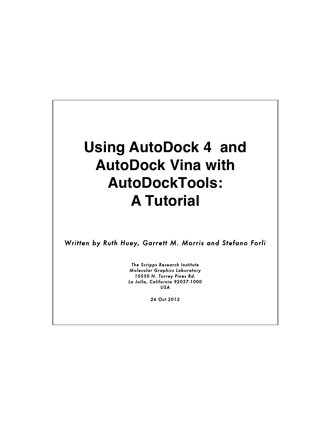# **Using AutoDock 4 and AutoDock Vina with AutoDockTools: A Tutorial**

*Written by Ruth Huey, Garrett M. Morris and Stefano Forli* 

*The Scripps Research Institute Molecular Graphics Laboratory 10550 N. Torrey Pines Rd. La Jolla, California 92037-1000 USA* 

*26 Oct 2012*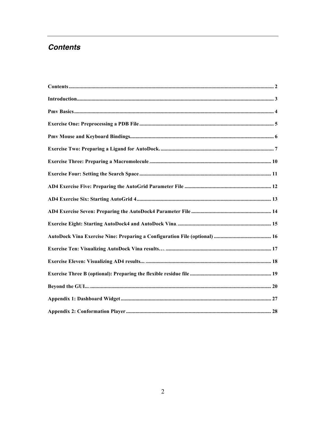# **Contents**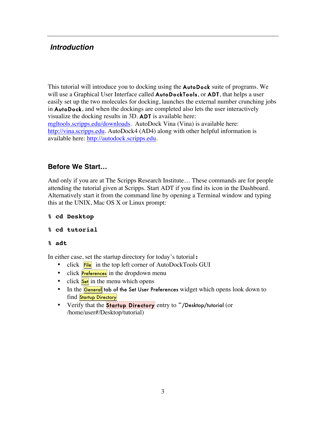# *Introduction*

This tutorial will introduce you to docking using the **AutoDock** suite of programs. We will use a Graphical User Interface called **AutoDockTools**, or **ADT**, that helps a user easily set up the two molecules for docking, launches the external number crunching jobs in AutoDock, and when the dockings are completed also lets the user interactively visualize the docking results in 3D. ADT is available here: mgltools.scripps.edu/downloads. AutoDock Vina (Vina) is available here: http://vina.scripps.edu. AutoDock4 (AD4) along with other helpful information is available here: http://autodock.scripps.edu.

# **Before We Start…**

And only if you are at The Scripps Research Institute… These commands are for people attending the tutorial given at Scripps. Start ADT if you find its icon in the Dashboard. Alternatively start it from the command line by opening a Terminal window and typing this at the UNIX, Mac OS X or Linux prompt:

**% cd Desktop**

```
% cd tutorial
```
### **% adt**

In either case, set the startup directory for today's tutorial:

- click File in the top left corner of AutoDockTools GUI
- click **Preferences** in the dropdown menu
- click **Set** in the menu which opens
- In the **General** tab of the Set User Preferences widget which opens look down to find Startup Directory
- Verify that the **Startup Directory** entry to "/Desktop/tutorial (or /home/user#/Desktop/tutorial)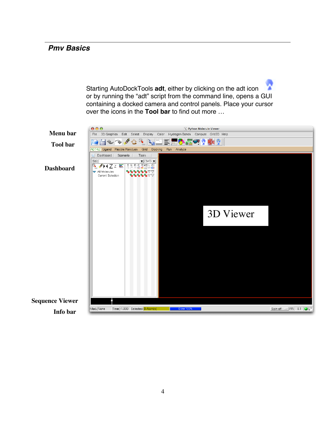# *Pmv Basics*

Starting AutoDockTools **adt**, either by clicking on the adt icon or by running the "adt" script from the command line, opens a GUI containing a docked camera and control panels. Place your cursor over the icons in the **Tool bar** to find out more …

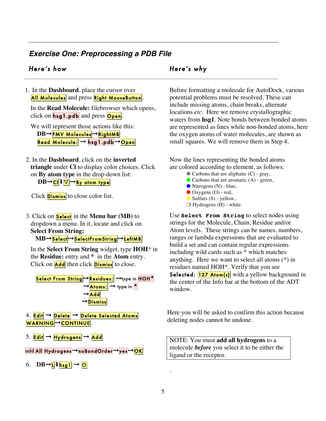# *Exercise One: Preprocessing a PDB File*

# *Here's how Here's why*

1. In the **Dashboard**, place the cursor over All Molecules and press Right MouseButton.

In the **Read Molecule:** filebrowser which opens, click on  $\frac{\hbar s g}{\hbar}$  . pdb and press Open.

We will represent those actions like this: **DB**→PMV Molecules→RightMB Read Molecule: → hsg1.pdb→Open

2. In the **Dashboard**, click on the **inverted triangle** under **Cl** to display color choices. Click on **By atom type** in the drop-down list:

 $DB \rightarrow$ Cl $D \rightarrow$ By atom type

Click **Dismiss** to close color list.

3. Click on Select in the **Menu bar (MB)** to dropdown a menu. In it, locate and click on **Select From String:**

**MB** → Select → SelectFrom String → LeftMB

 In the **Select From String** widget, type **HOH**\* in the **Residue:** entry and **\*** in the **Atom** entry. Click on  $\text{Add}$  then click **Dismiss** to close.



add All Hydrogens→noBondOrder→yes→OK

6.  $DB\rightarrow L$ **l** $hsg1 \rightarrow O$ 

Before formatting a molecule for AutoDock, various potential problems must be resolved. These can include missing atoms, chain breaks, alternate locations *etc*. Here we remove crystallographic waters from **hsg1**. Note bonds between bonded atoms are represented as lines while non-bonded atoms, here the oxygen atoms of water molecules, are shown as small squares. We will remove them in Step 4.

Now the lines representing the bonded atoms are colored according to element, as follows:

- $\bullet$  Carbons that are aliphatic (C) gray,
	- $\bullet$  Carbons that are aromatic (A) green,
	- $\bullet$  Nitrogens (N) blue,
	- $\bullet$  Oxygens (O) red,
	- $\bullet$  Sulfurs (S) yellow,
	- $\bigcirc$  Hydrogens (H) white.

Use **Select From String** to select nodes using strings for the Molecule, Chain, Residue and/or Atom levels. These strings can be names, numbers, ranges or lambda expressions that are evaluated to build a set and can contain regular expressions including wild cards such as \* which matches anything. Here we want to select all atoms (\*) in residues named HOH\*. Verify that you see Selected: **127 Atom(s)** with a yellow background in the center of the Info bar at the bottom of the ADT window.

Here you will be asked to confirm this action because deleting nodes cannot be undone.

NOTE: You must **add all hydrogens** to a molecule *before* you select it to be either the ligand or the receptor.

.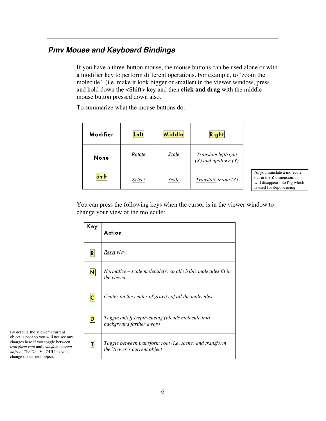# *Pmv Mouse and Keyboard Bindings*

If you have a three-button mouse, the mouse buttons can be used alone or with a modifier key to perform different operations. For example, to 'zoom the molecule' (i.e. make it look bigger or smaller) in the viewer window, press and hold down the <Shift> key and then **click and drag** with the middle mouse button pressed down also.

To summarize what the mouse buttons do:

| Modifier     | $\left  \text{Left} \right $ | <b>Middle</b> | <b>Right</b>                                    |
|--------------|------------------------------|---------------|-------------------------------------------------|
| None         | Rotate                       | Scale         | Translate left/right<br>$(X)$ and up/down $(Y)$ |
| <b>Shift</b> | Select                       | Scale         | Translate in/out $(Z)$                          |

As you translate a molecule out in the **Z** dimension, it will disappear into **fog** which is used for depth-cueing.

You can press the following keys when the cursor is in the viewer window to change your view of the molecule:

| Key                      | Action                                                                                   |
|--------------------------|------------------------------------------------------------------------------------------|
| $\vert \mathsf{R} \vert$ | Reset view                                                                               |
| $\mathbf N$              | <u>Normalize</u> – scale molecule(s) so all visible molecules fit in<br>the viewer       |
| $\overline{\mathsf{C}}$  | <b>Center</b> on the center of gravity of all the molecules                              |
| $\mathsf{D}$             | <i>Toggle on/off Depth-cueing (blends molecule into</i><br>background farther away)      |
| П                        | Toggle between transform root (i.e. scene) and transform<br>the Viewer's current object. |

By default, the Viewer's current object is **root** so you will not see any changes here if you toggle between *transform root* and *transfom current object.* The DejaVu GUI lets you change the current object*.*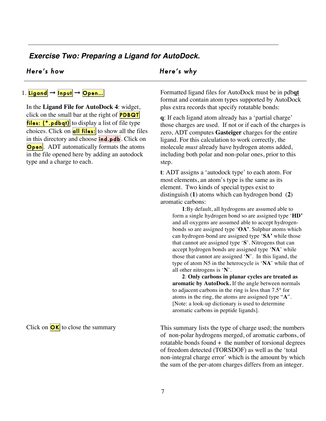# *Exercise Two: Preparing a Ligand for AutoDock.*

# *Here's how Here's why*

# 1. Ligand  $\rightarrow$  Input  $\rightarrow$  Open...

In the **Ligand File for AutoDock 4**: widget, click on the small bar at the right of **PDBQT** files:  $(*.pdbqt)$  to display a list of file type choices. Click on **all files:** to show all the files in this directory and choose **ind.pdb**. Click on **Open**. ADT automatically formats the atoms in the file opened here by adding an autodock type and a charge to each.

Click on  $OK$  to close the summary

Formatted ligand files for AutoDock must be in pdb**qt** format and contain atom types supported by AutoDock plus extra records that specify rotatable bonds:

**q**: If each ligand atom already has a 'partial charge' those charges are used. If not or if each of the charges is zero, ADT computes **Gasteiger** charges for the entire ligand. For this calculation to work correctly, the molecule *must* already have hydrogen atoms added, including both polar and non-polar ones, prior to this step.

**t**: ADT assigns a 'autodock type' to each atom. For most elements, an atom's type is the same as its element. Two kinds of special types exist to distinguish (**1**) atoms which can hydrogen bond (**2**) aromatic carbons:

**1**:By default, all hydrogens are assumed able to form a single hydrogen bond so are assigned type '**HD'** and all oxygens are assumed able to accept hydrogenbonds so are assigned type '**OA'**. Sulphur atoms which can hydrogen-bond are assigned type '**SA'** while those that cannot are assigned type '**S**'. Nitrogens that can accept hydrogen bonds are assigned type '**NA**' while those that cannot are assigned '**N**'. In this ligand, the type of atom N5 in the heterocycle is '**NA**' while that of all other nitrogens is '**N**'.

**2**: **Only carbons in planar cycles are treated as aromatic by AutoDock.** If the angle between normals to adjacent carbons in the ring is less than 7.5° for atoms in the ring, the atoms are assigned type "**A**". [Note: a look-up dictionary is used to determine aromatic carbons in peptide ligands].

This summary lists the type of charge used; the numbers of non-polar hydrogens merged, of aromatic carbons, of rotatable bonds found  $+$  the number of torsional degrees of freedom detected (TORSDOF) as well as the 'total non-integral charge error' which is the amount by which the sum of the per-atom charges differs from an integer.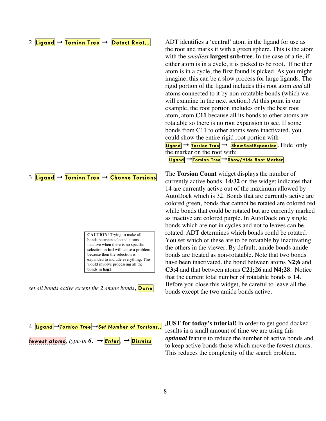## 2. Ligand  $\rightarrow$  Torsion Tree  $\rightarrow$  Detect Root...

3. Ligand → Torsion Tree → Choose Torsions

**CAUTION**! Trying to make all bonds between selected atoms inactive when there is no specific selection in **ind** will cause a problem because then the selection is expanded to include everything. This would involve processing all the bonds in **hsg1**.





ADT identifies a 'central' atom in the ligand for use as the root and marks it with a green sphere. This is the atom with the *smallest* **largest sub-tree**. In the case of a tie, if either atom is in a cycle, it is picked to be root. If neither atom is in a cycle, the first found is picked. As you might imagine, this can be a slow process for large ligands. The rigid portion of the ligand includes this root atom *and* all atoms connected to it by non-rotatable bonds (which we will examine in the next section.) At this point in our example, the root portion includes only the best root atom, atom **C11** because all its bonds to other atoms are rotatable so there is no root expansion to see. If some bonds from C11 to other atoms were inactivated, you could show the entire rigid root portion with

 $Ligand \rightarrow$  Torsion Tree  $\rightarrow$  ShowRootExpansion. Hide only the marker on the root with:

Ligand → Torsion Tree→Show/Hide Root Marker

The **Torsion Count** widget displays the number of currently active bonds. **14/32** on the widget indicates that 14 are currently active out of the maximum allowed by AutoDock which is 32. Bonds that are currently active are colored green, bonds that cannot be rotated are colored red while bonds that could be rotated but are currently marked as inactive are colored purple. In AutoDock only single bonds which are not in cycles and not to leaves can be rotated. ADT determines which bonds could be rotated. You set which of these are to be rotatable by inactivating the others in the viewer. By default, amide bonds amide bonds are treated as non-rotatable. Note that two bonds have been inactivated, the bond between atoms **N2;6** and **C3;4** and that between atoms **C21;26** and **N4;28**. Notice that the current total number of rotatable bonds is **14**. Before you close this widget, be careful to leave all the bonds except the two amide bonds active.

**JUST for today's tutorial!** In order to get good docked results in a small amount of time we are using this *optional* feature to reduce the number of active bonds and to keep active bonds those which move the fewest atoms. This reduces the complexity of the search problem.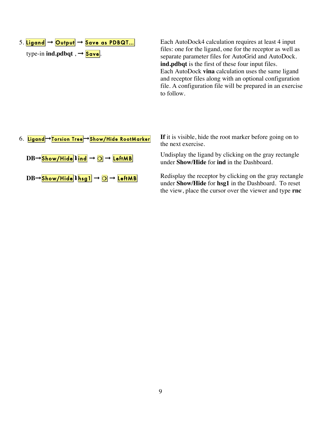type-in **ind.pdbqt**,  $\rightarrow$  **Save**.

Each AutoDock4 calculation requires at least 4 input files: one for the ligand, one for the receptor as well as separate parameter files for AutoGrid and AutoDock. **ind.pdbqt** is the first of these four input files. Each AutoDock **vina** calculation uses the same ligand and receptor files along with an optional configuration file. A configuration file will be prepared in an exercise to follow.

| 6. Ligand→Torsion Tree→Show/Hide RootMarker                             |  |
|-------------------------------------------------------------------------|--|
| $DB \rightarrow$ Show/Hide lind $\rightarrow$ O $\rightarrow$ LeftMB    |  |
| $DB \rightarrow$ Show/Hide   hsg 1 $\rightarrow$ 0 $\rightarrow$ LeftMB |  |

**If** it is visible, hide the root marker before going on to the next exercise.

Undisplay the ligand by clicking on the gray rectangle under **Show/Hide** for **ind** in the Dashboard.

Redisplay the receptor by clicking on the gray rectangle under **Show/Hide** for **hsg1** in the Dashboard. To reset the view, place the cursor over the viewer and type **rnc**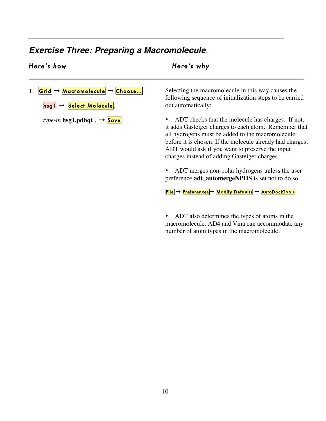# *Exercise Three: Preparing a Macromolecule.*

# *Here's how Here's why*

# 1. Grid  $\rightarrow$  Macromolecule  $\rightarrow$  Choose...  $\texttt{hsg1} \rightarrow$  Select Molecule.  *hsg1.pdbqt,*  $\rightarrow$  *Save* Selecting the macromolecule in this way causes the following sequence of initialization steps to be carried out automatically: • ADT checks that the molecule has charges. If not, it adds Gasteiger charges to each atom. Remember that all hydrogens must be added to the macromolecule before it is chosen. If the molecule already had charges, ADT would ask if you want to preserve the input charges instead of adding Gasteiger charges.

• ADT merges non-polar hydrogens unless the user preference **adt\_automergeNPHS** is set not to do so.

**File** → Preferences → Modify Defaults → AutoDockTools

• ADT also determines the types of atoms in the macromolecule. AD4 and Vina can accommodate any number of atom types in the macromolecule.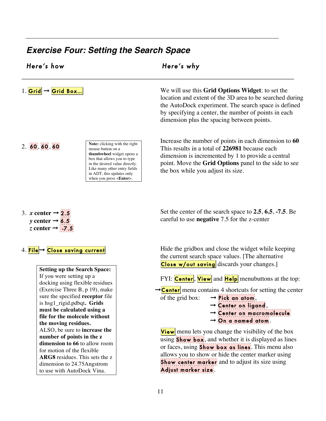# *Exercise Four: Setting the Search Space*

| Here's how                     | Here's why                                                                                                                                                                   |
|--------------------------------|------------------------------------------------------------------------------------------------------------------------------------------------------------------------------|
| 1. Grid $\rightarrow$ Grid Box | We will use this <b>Grid Options Widget</b> : to set the<br>location and extent of the 3D area to be searched during<br>the AutoDock experiment. The search space is defined |

2. 60, 60, 60

**Note:** clicking with the right mouse button on a **thumbwheel** widget opens a box that allows you to type in the desired value directly. Like many other entry fields in ADT, this updates only when you press <**Enter**>.

Increase the number of points in each dimension to **60** This results in a total of **226981** because each dimension is incremented by 1 to provide a central point. Move the **Grid Options** panel to the side to see the box while you adjust its size.

by specifying a center, the number of points in each

dimension plus the spacing between points.

- 3. *x* center  $\rightarrow$  2.5 *y* center  $\rightarrow$  6.5 *z* center  $\rightarrow$  -7.5
- 4. File → Close saving current

**Setting up the Search Space:** If you were setting up a docking using flexible residues (Exercise Three B, p 19), make sure the specified **receptor** file is hsg1\_rigid.pdbqt**. Grids must be calculated using a file for the molecule without the moving residues.** ALSO, be sure to **increase the number of points in the z dimension to 66** to allow room for motion of the flexible **ARG8** residues. This sets the z dimension to 24.75Angstrom to use with AutoDock Vina.

Hide the gridbox and close the widget while keeping the current search space values. [The alternative

Set the center of the search space to **2.5**, **6.5**, **-7.5**. Be

**Close w/out saving** discards your changes.

careful to use **negative** 7.5 for the z-center

FYI:  $\text{Center}$ , **View** and  $\text{Help}$  menubuttons at the top:

 $\rightarrow$  Center menu contains 4 shortcuts for setting the center of the grid box:  $\rightarrow$  Pick an atom,

> $\rightarrow$  Center on ligand, ➞ Center on macromolecule  $\rightarrow$  On a named atom.

**View** menu lets you change the visibility of the box using **Show box**, and whether it is displayed as lines or faces, using **Show box as lines**. This menu also allows you to show or hide the center marker using Show center marker and to adjust its size using Adjust marker size.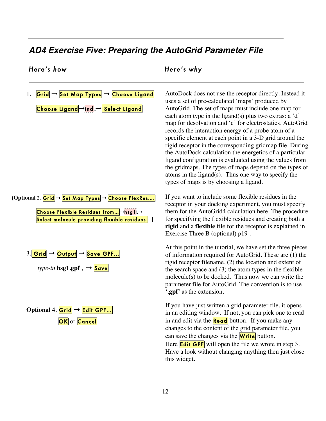# *AD4 Exercise Five: Preparing the AutoGrid Parameter File*

# *Here's how Here's why*

1. Grid → Set Map Types → Choose Ligand Choose Ligand →ind, → Select Ligand

[Optional 2. Grid → Set Map Types → Choose FlexRes.... Choose Flexible Residues from... →hsg1,→ Select molecule providing flexible residues

$$
3.\boxed{\mathsf{Grid}} \rightarrow \boxed{\mathsf{Output}} \rightarrow \boxed{\mathsf{Save GPF...}}
$$

 $type-in$  **hsg1.gpf**  $\rightarrow$  **Save** 

| Optional 4.                           | $\text{Grid} \rightarrow \text{Edit GPF...}$ |
|---------------------------------------|----------------------------------------------|
| $\text{OK} \text{ or } \text{Cancel}$ |                                              |

AutoDock does not use the receptor directly. Instead it uses a set of pre-calculated 'maps' produced by AutoGrid. The set of maps must include one map for each atom type in the ligand(s) plus two extras: a 'd' map for desolvation and 'e' for electrostatics. AutoGrid records the interaction energy of a probe atom of a specific element at each point in a 3-D grid around the rigid receptor in the corresponding gridmap file. During the AutoDock calculation the energetics of a particular ligand configuration is evaluated using the values from the gridmaps. The types of maps depend on the types of atoms in the ligand(s). Thus one way to specify the types of maps is by choosing a ligand.

If you want to include some flexible residues in the receptor in your docking experiment, you must specify them for the AutoGrid4 calculation here. The procedure for specifying the flexible residues and creating both a **rigid** and a **flexible** file for the receptor is explained in Exercise Three B (optional) p19 .

At this point in the tutorial, we have set the three pieces of information required for AutoGrid. These are (1) the rigid receptor filename, (2) the location and extent of the search space and (3) the atom types in the flexible molecule(s) to be docked. Thus now we can write the parameter file for AutoGrid. The convention is to use '.**gpf'** as the extension.

If you have just written a grid parameter file, it opens in an editing window. If not, you can pick one to read in and edit via the  $\text{Read}$  button. If you make any changes to the content of the grid parameter file, you can save the changes via the  $Write$  button. Here **Edit GPF** will open the file we wrote in step 3. Have a look without changing anything then just close this widget.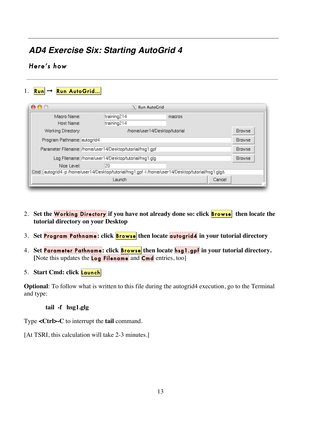# *AD4 Exercise Six: Starting AutoGrid 4*

# *Here's how*

1. Run → Run AutoGrid...

| 000                                                        |                                                      | $X$ Run AutoGrid                                                                                |               |
|------------------------------------------------------------|------------------------------------------------------|-------------------------------------------------------------------------------------------------|---------------|
| Macro Name:<br>Host Name:                                  | training214<br>training214                           | macros                                                                                          |               |
| Working Directory:                                         |                                                      | /home/user14/Desktop/tutorial                                                                   | <b>Browse</b> |
| Program Pathname: autogrid4                                |                                                      |                                                                                                 | <b>Browse</b> |
| Parameter Filename: /home/user14/Desktop/tutorial/hsg1.gpf |                                                      |                                                                                                 | <b>Browse</b> |
|                                                            | Log Filename: /home/user14/Desktop/tutorial/hsg1.glg |                                                                                                 | <b>Browse</b> |
| Nice Level:                                                | 20                                                   |                                                                                                 |               |
|                                                            |                                                      | Cmd: autogrid4-p/home/user14/Desktop/tutorial/hsg1.gpf-l/home/user14/Desktop/tutorial/hsg1.glg& |               |
|                                                            | Launch                                               |                                                                                                 | Cancel        |

- 2. Set the **Working Directory** if you have not already done so: click **Browse** then locate the **tutorial directory on your Desktop**
- 3. **Set** Program Pathname **: click** Browse **then locate** autogrid4 **in your tutorial directory**
- 4. **Set** Parameter Pathname **: click** Browse **then locate** hsg1.gpf **in your tutorial directory. [**Note this updates the Log Filename and Cmd entries, too]
- 5. **Start Cmd: click** Launch

**Optional**: To follow what is written to this file during the autogrid4 execution, go to the Terminal and type:

**tail -f hsg1.glg** 

Type **<Ctrl>-C** to interrupt the **tail** command.

[At TSRI, this calculation will take 2-3 minutes.]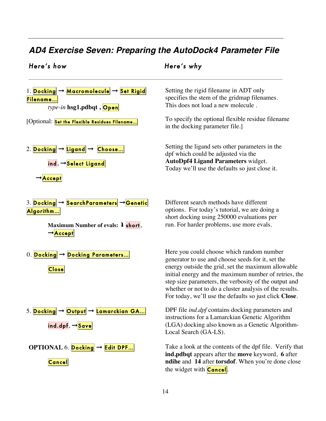# *AD4 Exercise Seven: Preparing the AutoDock4 Parameter File*

# *Here's how Here's why*



Setting the rigid filename in ADT only specifies the stem of the gridmap filenames. This does not load a new molecule .

To specify the optional flexible residue filename in the docking parameter file.]

Setting the ligand sets other parameters in the dpf which could be adjusted via the **AutoDpf4 Ligand Parameters** widget. Today we'll use the defaults so just close it.

Different search methods have different options. For today's tutorial, we are doing a short docking using 250000 evaluations per run. For harder problems, use more evals.

Here you could choose which random number generator to use and choose seeds for it, set the energy outside the grid, set the maximum allowable initial energy and the maximum number of retries, the step size parameters, the verbosity of the output and whether or not to do a cluster analysis of the results. For today, we'll use the defaults so just click **Close**.

DPF file *ind.dpf* contains docking parameters and instructions for a Lamarckian Genetic Algorithm (LGA) docking also known as a Genetic Algorithm-Local Search (GA-LS).

Take a look at the contents of the dpf file. Verify that **ind.pdbqt** appears after the **move** keyword, **6** after **ndihe** and **14** after **torsdof**. When you're done close the widget with **Cancel**.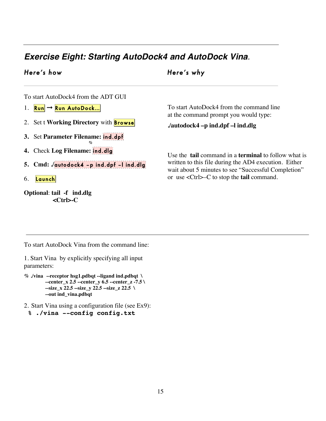# *Exercise Eight: Starting AutoDock4 and AutoDock Vina.*

# *Here's how Here's why*

To start AutoDock4 from the ADT GUI

- 1.  $\mathsf{Run} \rightarrow \mathsf{Run}$  AutoDock...
- 2. Set t Working Directory with **Browse**
- **3.** Set **Parameter Filename:** ind.dpf **%**
- **4.** Check **Log Filename:** ind.dlg
- **5. Cmd: ./**autodock4 –p ind.dpf –l ind.dlg
- 6. **Launch**
- **Optional**: **tail -f ind.dlg <Ctrl>-C**

To start AutoDock4 from the command line at the command prompt you would type:

# **./autodock4 –p ind.dpf –l ind.dlg**

Use the **tail** command in a **terminal** to follow what is written to this file during the AD4 execution. Either wait about 5 minutes to see "Successful Completion" or use <Ctrl>–C to stop the **tail** command.

To start AutoDock Vina from the command line:

1. Start Vina by explicitly specifying all input parameters:

- **% ./vina --receptor hsg1.pdbqt --ligand ind.pdbqt \ --center\_x 2.5 --center\_y 6.5 --center\_z -7.5 \ --size\_x 22.5 --size\_y 22.5 --size\_z 22.5 \ --out ind\_vina.pdbqt**
- 2. Start Vina using a configuration file (see Ex9): **% ./vina --config config.txt**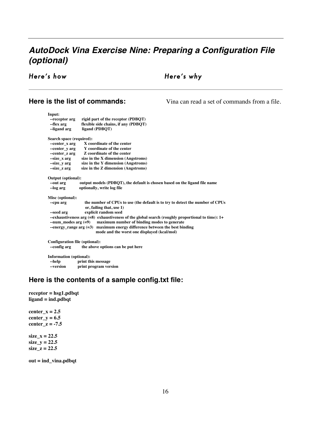# *AutoDock Vina Exercise Nine: Preparing a Configuration File (optional)*

# *Here's how Here's why*

### **Here is the list of commands:**  $\qquad \qquad$  Vina can read a set of commands from a file.

**Input: --receptor arg** rigid part of the receptor (PDBQT)<br> **--flex arg** flexible side chains, if any (PDBQT)  **--flex arg flexible side chains, if any (PDBQT)**  $ligand (PDBQT)$ **Search space (required): --center\_x arg X** coordinate of the center<br>
--center\_y arg Y coordinate of the center **Y** coordinate of the center **--center z arg Z coordinate of the center --size\_x arg size in the X dimension (Angstroms) --size\_y arg size in the Y dimension (Angstroms) --size\_z arg size in the Z dimension (Angstroms) Output (optional):** output models (PDBQT), the default is chosen based on the ligand file name  **--log arg optionally, write log file Misc (optional): --cpu arg the number of CPUs to use (the default is to try to detect the number of CPUs or, failing that, use 1) --seed arg explicit random seed --exhaustiveness arg (=8) exhaustiveness of the global search (roughly proportional to time): 1+ --num\_modes arg (=9) maximum number of binding modes to generate --energy\_range arg (=3) maximum energy difference between the best binding mode and the worst one displayed (kcal/mol) Configuration file (optional): --config arg the above options can be put here Information (optional):**

**--help** print this message<br>--version print program ver print program version

### **Here is the contents of a sample config.txt file:**

**receptor = hsg1.pdbqt ligand = ind.pdbqt** 

center  $x = 2.5$ **center\_y = 6.5 center\_z = -7.5 size\_x = 22.5 size\_y = 22.5 size\_z = 22.5** 

**out = ind\_vina.pdbqt**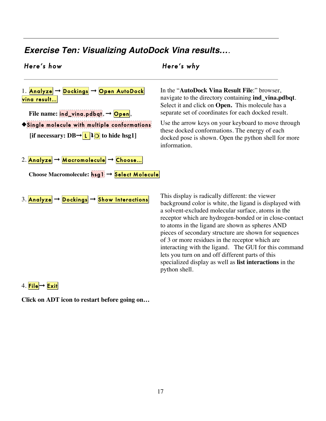# *Exercise Ten: Visualizing AutoDock Vina results….*

# *Here's how Here's why*

1. Analyze → Dockings → Open AutoDock vina result… File name: ind\_ving.pdbqt, → Open, ◆Single molecule with multiple conformations *[if necessary: DB* $\rightarrow$  $\boxed{L}$  $\boxed{O}$  **to hide hsg1]** 2. <mark>Analyze</mark> → Macromolecule → Choose... **Choose Macromolecule:** hsg1 ➞ Select Molecule

In the "**AutoDock Vina Result File**:" browser, navigate to the directory containing **ind\_vina.pdbqt**. Select it and click on **Open.** This molecule has a separate set of coordinates for each docked result.

Use the arrow keys on your keyboard to move through these docked conformations. The energy of each docked pose is shown. Open the python shell for more information.

3. Analyze → Dockings → Show Interactions

This display is radically different: the viewer background color is white, the ligand is displayed with a solvent-excluded molecular surface, atoms in the receptor which are hydrogen-bonded or in close-contact to atoms in the ligand are shown as spheres AND pieces of secondary structure are shown for sequences of 3 or more residues in the receptor which are interacting with the ligand. The GUI for this command lets you turn on and off different parts of this specialized display as well as **list interactions** in the python shell.

4. File → Exit

**Click on ADT icon to restart before going on…**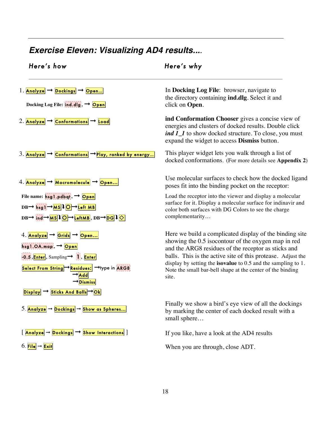# *Exercise Eleven: Visualizing AD4 results....*

| Here's how                                                                                                                                                                                                                                                                                                                                                                | Here's why                                                                                                                                                                                                                                                                                                                                                                               |
|---------------------------------------------------------------------------------------------------------------------------------------------------------------------------------------------------------------------------------------------------------------------------------------------------------------------------------------------------------------------------|------------------------------------------------------------------------------------------------------------------------------------------------------------------------------------------------------------------------------------------------------------------------------------------------------------------------------------------------------------------------------------------|
| 1. Analyze $\rightarrow$ Dockings $\rightarrow$ Open<br>Docking Log File: $\frac{1}{2}$ $\frac{1}{2}$ $\frac{1}{2}$ $\frac{1}{2}$ $\frac{1}{2}$ $\frac{1}{2}$ $\frac{1}{2}$ $\frac{1}{2}$ $\frac{1}{2}$ $\frac{1}{2}$ $\frac{1}{2}$ $\frac{1}{2}$ $\frac{1}{2}$ $\frac{1}{2}$ $\frac{1}{2}$ $\frac{1}{2}$ $\frac{1}{2}$ $\frac{1}{2}$ $\frac{1}{2}$ $\frac{1}{2}$ $\frac$ | In Docking Log File: browser, navigate to<br>the directory containing <b>ind.dlg</b> . Select it and<br>click on Open.                                                                                                                                                                                                                                                                   |
| 2. Analyze $\rightarrow$ Conformations $\rightarrow$ Load                                                                                                                                                                                                                                                                                                                 | ind Conformation Chooser gives a concise view of<br>energies and clusters of docked results. Double click<br><i>ind 1_1</i> to show docked structure. To close, you must<br>expand the widget to access <b>Dismiss</b> button.                                                                                                                                                           |
| 3. Analyze $\rightarrow$ Conformations $\rightarrow$ Play, ranked by energy                                                                                                                                                                                                                                                                                               | This player widget lets you walk through a list of<br>docked conformations. (For more details see Appendix 2)                                                                                                                                                                                                                                                                            |
| 4. Analyze → Macromolecule → Open                                                                                                                                                                                                                                                                                                                                         | Use molecular surfaces to check how the docked ligand<br>poses fit into the binding pocket on the receptor:                                                                                                                                                                                                                                                                              |
| File name: hsg1.pdbqt, -> Open<br>$DB \rightarrow hsg1 \rightarrow MS$ $O \rightarrow L$ eft MB<br>$DB \rightarrow \text{ind} \rightarrow \text{MS}$ $\downarrow$ O $\rightarrow$ LeftMB, $DB \rightarrow DG$ $\downarrow$ $\odot$                                                                                                                                        | Load the receptor into the viewer and display a molecular<br>surface for it. Display a molecular surface for indinavir and<br>color both surfaces with DG Colors to see the charge<br>complementarity                                                                                                                                                                                    |
| 4. Analyze → Grids → Open<br>hsg1.OA.map, -> Open<br>$\cdot$ 0.5, Enter, Sampling $\rightarrow$ 1, Enter<br><mark>Select From String</mark> →Residues: →type in ARG8<br>$\rightarrow$ Add<br>$\rightarrow$ Dismiss<br>Display $\rightarrow$ Sticks And Balls $\rightarrow$ Ok                                                                                             | Here we build a complicated display of the binding site<br>showing the 0.5 isocontour of the oxygen map in red<br>and the ARG8 residues of the receptor as sticks and<br>balls. This is the active site of this protease. Adjust the<br>display by setting the <b>isovalue</b> to $0.5$ and the sampling to $1$ .<br>Note the small bar-bell shape at the center of the binding<br>site. |
| 5. Analyze $\rightarrow$ Dockings $\rightarrow$ Show as Spheres                                                                                                                                                                                                                                                                                                           | Finally we show a bird's eye view of all the dockings<br>by marking the center of each docked result with a<br>small sphere                                                                                                                                                                                                                                                              |
| $\overline{\text{Analyze}} \rightarrow \overline{\text{Dockings}} \rightarrow \overline{\text{Show Interactions}}$                                                                                                                                                                                                                                                        | If you like, have a look at the AD4 results                                                                                                                                                                                                                                                                                                                                              |
| 6. File $\rightarrow$ Exit                                                                                                                                                                                                                                                                                                                                                | When you are through, close ADT.                                                                                                                                                                                                                                                                                                                                                         |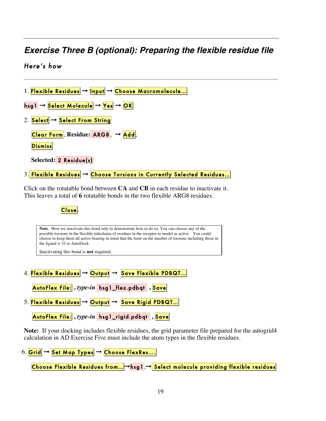# *Exercise Three B (optional): Preparing the flexible residue file*

# *Here's how*



Close.

**Note**: Here we inactivate this bond only to demonstrate how to do so. You can choose any of the possible torsions in the flexible sidechains of residues in the receptor to model as active. You could choose to keep them all active bearing in mind that the limit on the number of torsions including those in the ligand is 32 in AutoDock.

Inactivating this bond is **not** required.

4. <mark>Flexible Residues</mark> → Output → Save Flexible PDBQT...

AutoFlex File: **,** *type-in* hsg1\_flex.pdbqt **,** Save

5. Flexible Residues  $\rightarrow$  Output  $\rightarrow$  Save Rigid PDBQT...

AutoFlex File: **,** *type-in* hsg1\_rigid.pdbqt **,** Save

**Note:** If your docking includes flexible residues, the grid parameter file prepared for the autogrid4 calculation in AD Exercise Five must include the atom types in the flexible residues.

6. Grid  $\rightarrow$  Set Map Types  $\rightarrow$  Choose FlexRes....

Choose Flexible Residues from... →hsg1, → Select molecule providing flexible residues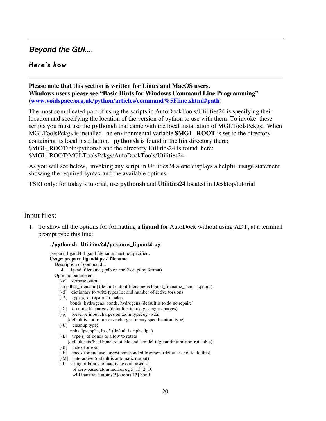# *Beyond the GUI....*

# *Here's how*

**Please note that this section is written for Linux and MacOS users. Windows users please see "Basic Hints for Windows Command Line Programming" (www.voidspace.org.uk/python/articles/command%5Fline.shtml#path)**

The most complicated part of using the scripts in AutoDockTools/Utilities24 is specifying their location and specifying the location of the version of python to use with them. To invoke these scripts you must use the **pythonsh** that came with the local installation of MGLToolsPckgs. When MGLToolsPckgs is installed, an environmental variable **\$MGL\_ROOT** is set to the directory containing its local installation. **pythonsh** is found in the **bin** directory there: \$MGL\_ROOT/bin/pythonsh and the directory Utilities24 is found here: \$MGL\_ROOT/MGLToolsPckgs/AutoDockTools/Utilities24.

As you will see below, invoking any script in Utilities24 alone displays a helpful **usage** statement showing the required syntax and the available options.

TSRI only: for today's tutorial, use **pythonsh** and **Utilities24** located in Desktop/tutorial

## Input files:

1. To show all the options for formatting a **ligand** for AutoDock without using ADT, at a terminal prompt type this line:

### ./pythonsh Utilities24/prepare\_ligand4.py

| prepare_ligand4: ligand filename must be specified.                            |
|--------------------------------------------------------------------------------|
| Usage: prepare_ligand4.py -l filename                                          |
| Description of command                                                         |
| ligand_filename (.pdb or .mol2 or .pdbq format)<br>-1                          |
| Optional parameters:                                                           |
| $\lceil -v \rceil$ verbose output                                              |
| [-o pdbqt_filename] (default output filename is ligand_filename_stem + .pdbqt) |
| [-d] dictionary to write types list and number of active torsions              |
| $[-A]$ type(s) of repairs to make:                                             |
| bonds_hydrogens, bonds, hydrogens (default is to do no repairs)                |
| [-C] do not add charges (default is to add gasteiger charges)                  |
| [-p] preserve input charges on atom type, eg -p Zn                             |
| (default is not to preserve charges on any specific atom type)                 |
| $\left[ -U \right]$ cleanup type:                                              |
| nphs_lps, nphs, lps, " (default is 'nphs_lps')                                 |
| $[-B]$ type(s) of bonds to allow to rotate                                     |
| (default sets 'backbone' rotatable and 'amide' + 'guanidinium' non-rotatable)  |
| $[-R]$ index for root                                                          |
| check for and use largest non-bonded fragment (default is not to do this)<br>F |
| [-M] interactive (default is automatic output)                                 |
| string of bonds to inactivate composed of<br>ſ-П                               |
| of zero-based atom indices eg 5_13_2_10                                        |
| will inactivate atoms[5]-atoms[13] bond                                        |
|                                                                                |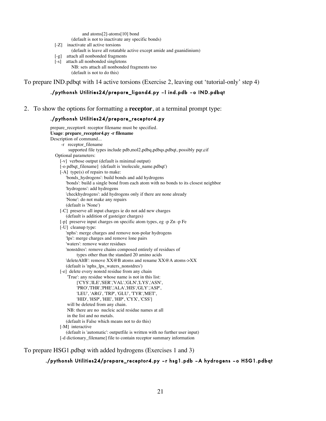and atoms[2]-atoms[10] bond

(default is not to inactivate any specific bonds)

- [-Z] inactivate all active torsions
	- (default is leave all rotatable active except amide and guanidinium)
- [-g] attach all nonbonded fragments
- [-s] attach all nonbonded singletons
	- NB: sets attach all nonbonded fragments too (default is not to do this)

To prepare IND.pdbqt with 14 active torsions (Exercise 2, leaving out 'tutorial-only' step 4)

### ./pythonsh Utilities24/prepare\_ligand4.py –l ind.pdb –o IND.pdbqt

2. To show the options for formatting a **receptor**, at a terminal prompt type:

### ./pythonsh Utilities24/prepare\_receptor4.py

prepare receptor4: receptor filename must be specified. **Usage**: **prepare\_receptor4.py -r filename** Description of command... -r receptor\_filename supported file types include pdb,mol2,pdbq,pdbqs,pdbqt, possibly pqr,cif Optional parameters: [-v] verbose output (default is minimal output) [-o pdbqt\_filename] (default is 'molecule\_name.pdbqt') [-A] type(s) of repairs to make: 'bonds\_hydrogens': build bonds and add hydrogens 'bonds': build a single bond from each atom with no bonds to its closest neighbor 'hydrogens': add hydrogens 'checkhydrogens': add hydrogens only if there are none already 'None': do not make any repairs (default is 'None') [-C] preserve all input charges ie do not add new charges (default is addition of gasteiger charges) [-p] preserve input charges on specific atom types, eg -p Zn -p Fe [-U] cleanup type: 'nphs': merge charges and remove non-polar hydrogens 'lps': merge charges and remove lone pairs 'waters': remove water residues 'nonstdres': remove chains composed entirely of residues of types other than the standard 20 amino acids 'deleteAltB': remove XX@B atoms and rename XX@A atoms->XX (default is 'nphs\_lps\_waters\_nonstdres') [-e] delete every nonstd residue from any chain 'True': any residue whose name is not in this list: ['CYS','ILE','SER','VAL','GLN','LYS','ASN', 'PRO','THR','PHE','ALA','HIS','GLY','ASP', 'LEU', 'ARG', 'TRP', 'GLU', 'TYR','MET', 'HID', 'HSP', 'HIE', 'HIP', 'CYX', 'CSS'] will be deleted from any chain. NB: there are no nucleic acid residue names at all in the list and no metals. (default is False which means not to do this) [-M] interactive (default is 'automatic': outputfile is written with no further user input) [-d dictionary\_filename] file to contain receptor summary information

To prepare HSG1.pdbqt with added hydrogens (Exercises 1 and 3)

./pythonsh Utilities24/prepare\_receptor4.py –r hsg1.pdb –A hydrogens –o HSG1.pdbqt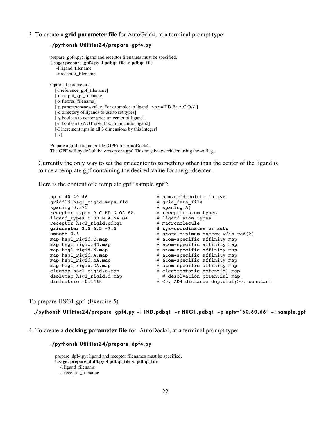### 3. To create a **grid parameter file** for AutoGrid4, at a terminal prompt type:

### ./pythonsh Utilities24/prepare\_gpf4.py

prepare\_gpf4.py: ligand and receptor filenames must be specified. **Usage: prepare\_gpf4.py -l pdbqt\_file -r pdbqt\_file**  -l ligand\_filename -r receptor\_filename Optional parameters: [-i reference\_gpf\_filename] [-o output\_gpf\_filename] [-x flexres\_filename] [-p parameter=newvalue. For example: -p ligand\_types='HD,Br,A,C,OA'] [-d directory of ligands to use to set types] [-y boolean to center grids on center of ligand] [-n boolean to NOT size\_box\_to\_include\_ligand] [-I increment npts in all 3 dimensions by this integer]  $[-v]$ 

Prepare a grid parameter file (GPF) for AutoDock4. The GPF will by default be <receptor>.gpf. This may be overridden using the -o flag.

Currently the only way to set the gridcenter to something other than the center of the ligand is to use a template gpf containing the desired value for the gridcenter.

Here is the content of a template gpf "sample.gpf":

```
npts 40 40 46 <br>
gridfld hsgl rigid.maps.fld # grid data file
gridfld hsg1 rigid.maps.fld
spacing 0.375 \# spacing(A)<br>receptor types A C HD N OA SA \# receptor atom types
receptor_types A C HD N OA SA # receptor atom types<br>ligand_types C HD N A NA OA # ligand atom types
ligand_types C HD N A NA OA \# ligand atom types C HD N A NA OA \# macromolecule
receptor hsql rigid.pdbqt
gridcenter 2.5 6.5 -7.5 # xyz-coordinates or auto<br>smooth 0.5 # store minimum energy w/
smooth 0.5 <br>
\# store minimum energy w/in rad(A)<br>
\# atom-specific affinity map<br>
\# atom-specific affinity map
map hsg1_rigid.C.map          # atom-specific affinity map
map hsg1_rigid.HD.map          # atom-specific affinity map
map hsg1_rigid.N.map # atom-specific affinity map
map hsg1_rigid.A.map # atom-specific affinity map
map hsg1_rigid.NA.map          # atom-specific affinity map
map hsg1_rigid.OA.map         # atom-specific affinity map
elecmap hsg1_rigid.e.map # electrostatic potential map
dsolvmap hsg1 rigid.d.map \# desolvation potential map
dielectric -0.1465 \# <0, AD4 distance-dep.diel; >0, constant
```
To prepare HSG1.gpf (Exercise 5)

### ./pythonsh Utilities24/prepare\_gpf4.py –l IND.pdbqt –r HSG1.pdbqt –p npts="60,60,66" –i sample.gpf

4. To create a **docking parameter file** for AutoDock4, at a terminal prompt type:

### ./pythonsh Utilities24/prepare\_dpf4.py

prepare\_dpf4.py: ligand and receptor filenames must be specified. **Usage: prepare\_dpf4.py -l pdbqt\_file -r pdbqt\_file** -l ligand\_filename -r receptor\_filename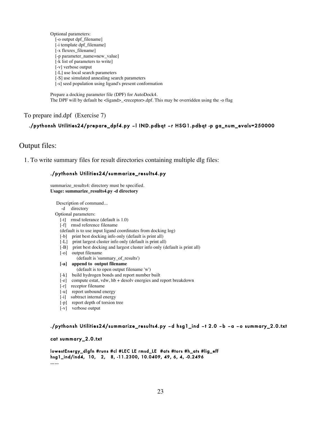Optional parameters: [-o output dpf\_filename] [-i template dpf\_filename] [-x flexres\_filename] [-p parameter\_name=new\_value] [-k list of parameters to write] [-v] verbose output [-L] use local search parameters [-S] use simulated annealing search parameters [-s] seed population using ligand's present conformation

Prepare a docking parameter file (DPF) for AutoDock4. The DPF will by default be <ligand>\_<receptor>.dpf. This may be overridden using the -o flag

### To prepare ind.dpf (Exercise 7)

### ./pythonsh Utilities24/prepare\_dpf4.py –l IND.pdbqt –r HSG1.pdbqt -p ga\_num\_evals=250000

Output files:

1. To write summary files for result directories containing multiple dlg files:

### ./pythonsh Utilities24/summarize\_results4.py

summarize\_results4: directory must be specified. **Usage: summarize\_results4.py -d directory**

 Description of command... -d directory Optional parameters: [-t] rmsd tolerance (default is 1.0)

[-f] rmsd reference filename

(default is to use input ligand coordinates from docking log)

- [-b] print best docking info only (default is print all)
- [-L] print largest cluster info only (default is print all)
- [-B] print best docking and largest cluster info only (default is print all)
- [-o] output filename
	- (default is 'summary\_of\_results')
- **[-a] append to output filename**
- (default is to open output filename 'w')
- [-k] build hydrogen bonds and report number built
- [-e] compute estat, vdw, hb + desolv energies and report breakdown
- [-r] receptor filename
- [-u] report unbound energy
- [-i] subtract internal energy
- [-p] report depth of torsion tree
- [-v] verbose output

### ./pythonsh Utilities24/summarize\_results4.py –d hsg1\_ind –t 2.0 –b –a –o summary\_2.0.txt

### cat summary\_2.0.txt

```
lowestEnergy_dlgfn #runs #cl #LEC LE rmsd_LE #ats #tors #h_ats #lig_eff 
hsg1_ind/ind4, 10, 2, 8, -11.2300, 10.0409, 49, 6, 4, -0.2496 
……
```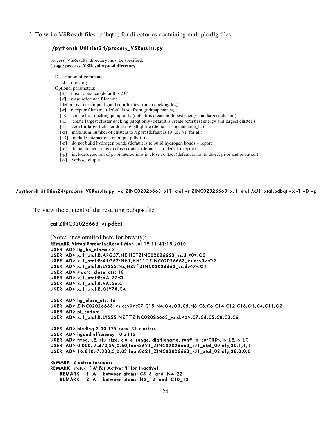2. To write VSResult files (pdbqt+) for directories containing multiple dlg files:

### ./pythonsh Utilities24/process\_VSResults.py

process\_VSResults: directory must be specified. **Usage: process\_VSResults.py -d directory**

Description of command...

-d directory

Optional parameters:

- [-t] rmsd tolerance (default is 2.0)
- [-f] rmsd reference filename
- (default is to use input ligand coordinates from a docking log)
- [-r] receptor filename (default is set from gridmap names)
- [-B] create best docking pdbqt only (default is create both best energy and largest cluster )
- [-L] create largest cluster docking pdbqt only (default is create both best energy and largest cluster )
- [-l] stem for largest cluster docking pdbqt file (default is 'ligandname\_lc')
- [-x] maximum number of clusters to report (default is 10, use '-1' for all)
- [-D] include interactions in output pdbqt file
- [-n] do not build hydrogen bonds (default is to build hydrogen bonds + report)
- [-c] do not detect atoms in close contact (default is to detect + report)
- [-p] include detection of pi-pi interactions in close contact (default is not to detect pi-pi and pi-cation)
- [-v] verbose output

### ./pythonsh Utilities24/process\_VSResults.py –d ZINC02026663\_xJ1\_xtal –r ZINC02026663\_xJ1\_xtal /xJ1\_xtal.pdbqt –x -1 –D –p

To view the content of the resulting pdbqt+ file

### cat ZINC02026663\_vs.pdbqt

(Note: lines omitted here for brevity): REMARK VirtualScreeningResult Mon Jul 19 11:41:15 2010 USER AD> lig\_hb\_atoms : 3 USER AD> xJ1\_xtal:B:ARG57:NE,HE~ZINC02026663\_vs:d:<0>:O3 USER AD> xJ1\_xtal:B:ARG57:NH1,HH11~ZINC02026663\_vs:d:<0>:O2 USER AD> xJ1\_xtal:B:LYS55:NZ,HZ3~ZINC02026663\_vs:d:<0>:O4 USER AD> macro\_close\_ats: 18 USER AD> xJ1\_xtal:B:VAL77:O USER AD> xJ1\_xtal:B:VAL56:C USER AD> xJ1\_xtal:B:GLY78:CA ….. USER AD> lig\_close\_ats: 16 USER AD> ZINC02026663\_vs:d:<0>:C7,C15,N4,O4,O3,C5,N3,C3,C6,C14,C12,C13,O1,C4,C11,O2 USER AD> pi\_cation: 1 USER AD> xJ1\_xtal:B:LYS55:NZ~~ZINC02026663\_vs:d:<0>:C7,C4,C5,C8,C3,C6 USER AD> binding 2.00 129 runs 31 clusters USER AD> ligand efficiency -0.3112 USER AD> rmsd, LE, clu\_size, clu\_e\_range, dlgfilename, run#, b\_curCRDs, b\_LE, b\_LC USER AD> 0.000,-7.470,39,0.60,faah8621\_ZINC02026663\_xJ1\_xtal\_00.dlg,30,1,1,1 USER AD> 16.810,-7.330,3,0.03,faah8621\_ZINC02026663\_xJ1\_xtal\_02.dlg,38,0,0,0 ….. REMARK 3 active torsions: REMARK status: ('A' for Active; 'I' for Inactive) REMARK 1 A between atoms: C5\_6 and N4\_22 REMARK 2 A between atoms: N2\_12 and C10\_13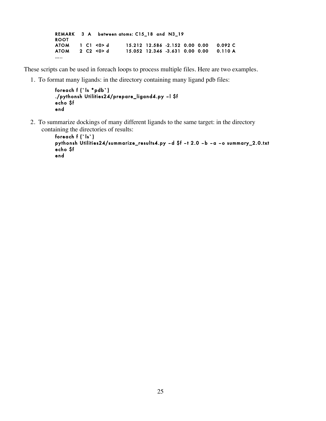REMARK 3 A between atoms: C15\_18 and N3\_19 ROOT ATOM 1 C1 <0> d 15.212 12.586 -2.152 0.00 0.00 0.092 C ATOM 2 C2 <0> d 15.052 12.346 -3.631 0.00 0.00 0.110 A …..

These scripts can be used in foreach loops to process multiple files. Here are two examples.

1. To format many ligands: in the directory containing many ligand pdb files:

```
foreach f (`ls *pdb`) 
./pythonsh Utilities24/prepare_ligand4.py –l $f 
echo $f 
end
```
 2. To summarize dockings of many different ligands to the same target: in the directory containing the directories of results:

```
foreach f (`ls`) 
pythonsh Utilities24/summarize_results4.py –d $f –t 2.0 –b –a –o summary_2.0.txt 
echo $f 
end
```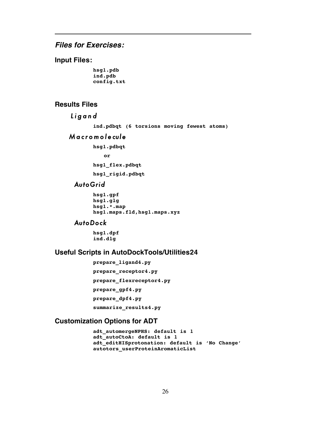# *Files for Exercises:*

## **Input Files:**

**hsg1.pdb ind.pdb config.txt** 

### **Results Files**

```
 Ligand
```
**ind.pdbqt (6 torsions moving fewest atoms)** 

### *Macromolecule*

**hsg1.pdbqt** 

```
 or
```
**hsg1\_flex.pdbqt** 

**hsg1\_rigid.pdbqt** 

# *AutoGrid*

```
hsg1.gpf 
hsg1.glg 
hsg1.*.map 
hsg1.maps.fld,hsg1.maps.xyz
```
# *AutoDock*

**hsg1.dpf ind.dlg** 

# **Useful Scripts in AutoDockTools/Utilities24**

```
prepare_ligand4.py 
prepare_receptor4.py 
prepare_flexreceptor4.py 
prepare_gpf4.py 
prepare_dpf4.py 
summarize_results4.py
```
## **Customization Options for ADT**

**adt\_automergeNPHS: default is 1 adt\_autoCtoA: default is 1 adt\_editHISprotonation: default is 'No Change' autotors\_userProteinAromaticList**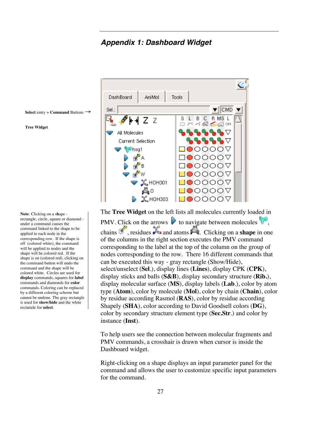*Appendix 1: Dashboard Widget*



The **Tree Widget** on the left lists all molecules currently loaded in PMV. Click on the arrows  $\triangleright$  to navigate between molecules  $\triangleright$ , chains **the chains**  $\mathcal{L}$  residues **a** and atoms **.** Clicking on a **shape** in one of the columns in the right section executes the PMV command corresponding to the label at the top of the column on the group of nodes corresponding to the row. There 16 different commands that can be executed this way - gray rectangle (Show/Hide), select/unselect (**Sel**.), display lines (**Lines**), display CPK (**CPK**), display sticks and balls (**S&B**), display secondary structure (**Rib.**), display molecular surface (**MS**), display labels (**Lab**.), color by atom type (**Atom**), color by molecule (**Mol**), color by chain (**Chain**), color by residue according Rasmol (**RAS**), color by residue according Shapely (**SHA**), color according to David Goodsell colors (**DG**), color by secondary structure element type (**Sec.Str**.) and color by instance (**Inst**).

To help users see the connection between molecular fragments and PMV commands, a crosshair is drawn when cursor is inside the Dashboard widget.

Right-clicking on a shape displays an input parameter panel for the command and allows the user to customize specific input parameters for the command.

**Select** entry + **Command** Buttons →

### **Tree Widget**

**Note**: Clicking on a s**h**ape rectangle, circle, square or diamond under a command causes the command linked to the shape to be applied to each node in the corresponding row. If the shape is off (colored white), the command will be applied to nodes and the shape will be colored red. If the shape is on (colored red), clicking on the command button will undo the command and the shape will be colored white. Circles are used for **display** commands, squares for **label** commands and diamonds for **color** commands. Coloring can be replaced by a different coloring scheme but cannot be undone. The gray rectangle is used for **show/hide** and the white rectangle for **select**.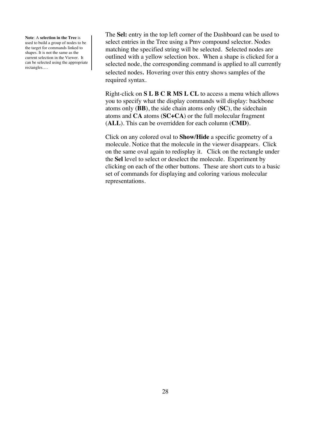**Note**: A **selection in the Tree** is used to build a group of nodes to be the target for commands linked to shapes. It is not the same as the current selection in the Viewer. It can be selected using the appropriate rectangles….

The **Sel:** entry in the top left corner of the Dashboard can be used to select entries in the Tree using a Pmv compound selector. Nodes matching the specified string will be selected. Selected nodes are outlined with a yellow selection box. When a shape is clicked for a selected node, the corresponding command is applied to all currently selected nodes. Hovering over this entry shows samples of the required syntax.

Right-click on **S L B C R MS L CL** to access a menu which allows you to specify what the display commands will display: backbone atoms only (**BB**), the side chain atoms only (**SC**), the sidechain atoms and **CA** atoms (**SC+CA**) or the full molecular fragment (**ALL**). This can be overridden for each column (**CMD**).

Click on any colored oval to **Show/Hide** a specific geometry of a molecule. Notice that the molecule in the viewer disappears. Click on the same oval again to redisplay it. Click on the rectangle under the **Sel** level to select or deselect the molecule. Experiment by clicking on each of the other buttons. These are short cuts to a basic set of commands for displaying and coloring various molecular representations.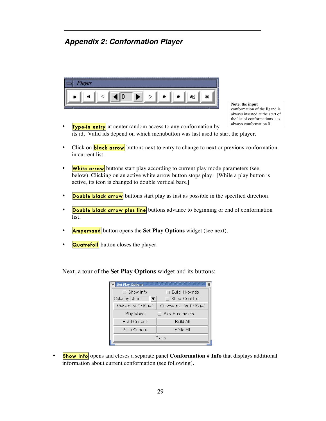# *Appendix 2: Conformation Player*



**Note**: the **input** conformation of the ligand is always inserted at the start of the list of conformations + is always conformation 0.

- **Type-in entry** at center random access to any conformation by its id. Valid ids depend on which menubutton was last used to start the player.
- Click on **black arrow** buttons next to entry to change to next or previous conformation in current list.
- White arrow buttons start play according to current play mode parameters (see below). Clicking on an active white arrow button stops play. [While a play button is active, its icon is changed to double vertical bars.]
- **Double black arrow** buttons start play as fast as possible in the specified direction.
- **Double black arrow plus line** buttons advance to beginning or end of conformation list.
- **Ampersand** button opens the **Set Play Options** widget (see next).
- **Quatrefoil** button closes the player.

**Set Play Options** Show Info Build H-bonds Color by atom  $\vert \mathbf{v} \vert$ Show Conf List Make clust RMS ref Choose mol for RMS ref Play Mode Play Parameters **Build Current** Build All Write Current Write All Close

Next, a tour of the **Set Play Options** widget and its buttons:

**Show Info** opens and closes a separate panel **Conformation # Info** that displays additional information about current conformation (see following).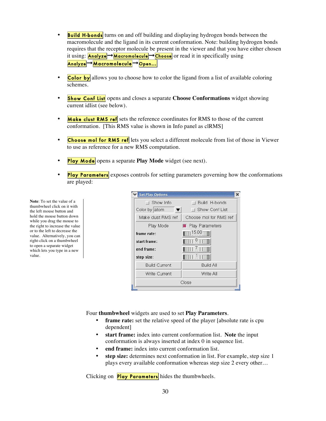- **Build H-bonds** turns on and off building and displaying hydrogen bonds between the macromolecule and the ligand in its current conformation. Note: building hydrogen bonds requires that the receptor molecule be present in the viewer and that you have either chosen it using: <mark>Analyze</mark>→Macromolecule→Choose or read it in specifically using Analyze → Macromolecule → Open...
- Color by allows you to choose how to color the ligand from a list of available coloring schemes.
- **Show Conf List** opens and closes a separate **Choose Conformations** widget showing current idlist (see below).
- Make clust RMS ref sets the reference coordinates for RMS to those of the current conformation. [This RMS value is shown in Info panel as clRMS]
- Choose mol for RMS ref lets you select a different molecule from list of those in Viewer to use as reference for a new RMS computation.
- **Play Mode** opens a separate **Play Mode** widget (see next).
- **Play Parameters** exposes controls for setting parameters governing how the conformations are played:

**Note**: To set the value of a thumbwheel click on it with the left mouse button and hold the mouse button down while you drag the mouse to the right to increase the value or to the left to decrease the value. Alternatively, you can right-click on a thumbwheel to open a separate widget which lets you type in a new value.

| <b>Set Play Options</b> |                                                                                                          |
|-------------------------|----------------------------------------------------------------------------------------------------------|
| □ Show Info             | Build H-bonds<br>$\blacksquare$                                                                          |
| Color by atom<br>▼      | <b>1 Show Conf List</b>                                                                                  |
| Make clust RMS ref      | Choose mol for RMS ref                                                                                   |
| Play Mode               | <b>Play Parameters</b>                                                                                   |
| frame rate:             | $\blacksquare$ 15.00 $\blacksquare$                                                                      |
| start frame:            | $\blacksquare$ $\blacksquare$ $\blacksquare$ $\blacksquare$ $\blacksquare$ $\blacksquare$ $\blacksquare$ |
| end frame:              | IIIIIZIDI                                                                                                |
| step size:              | $\blacksquare$                                                                                           |
| <b>Build Current</b>    | <b>Build All</b>                                                                                         |
| Write Current           | Write All                                                                                                |
|                         | Close                                                                                                    |

Four **thumbwheel** widgets are used to set **Play Parameters**.

- frame rate: set the relative speed of the player [absolute rate is cpu dependent]
- **start frame:** index into current conformation list. **Note** the input conformation is always inserted at index 0 in sequence list.
- end frame: index into current conformation list.
- **step size:** determines next conformation in list. For example, step size 1 plays every available conformation whereas step size 2 every other…

Clicking on **Play Parameters** hides the thumbwheels.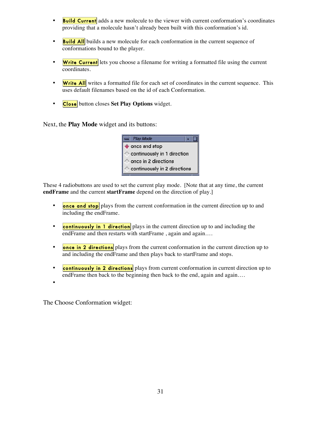- Build Current adds a new molecule to the viewer with current conformation's coordinates providing that a molecule hasn't already been built with this conformation's id.
- **Build All** builds a new molecule for each conformation in the current sequence of conformations bound to the player.
- Write Current lets you choose a filename for writing a formatted file using the current coordinates.
- Write All writes a formatted file for each set of coordinates in the current sequence. This uses default filenames based on the id of each Conformation.
- **Close** button closes Set Play Options widget.

Next, the **Play Mode** widget and its buttons:



These 4 radiobuttons are used to set the current play mode. [Note that at any time, the current **endFrame** and the current **startFrame** depend on the direction of play.]

- **once and stop** plays from the current conformation in the current direction up to and including the endFrame.
- **continuously in 1 direction** plays in the current direction up to and including the endFrame and then restarts with startFrame, again and again....
- once in 2 directions plays from the current conformation in the current direction up to and including the endFrame and then plays back to startFrame and stops.
- continuously in 2 directions plays from current conformation in current direction up to endFrame then back to the beginning then back to the end, again and again....

The Choose Conformation widget:

•